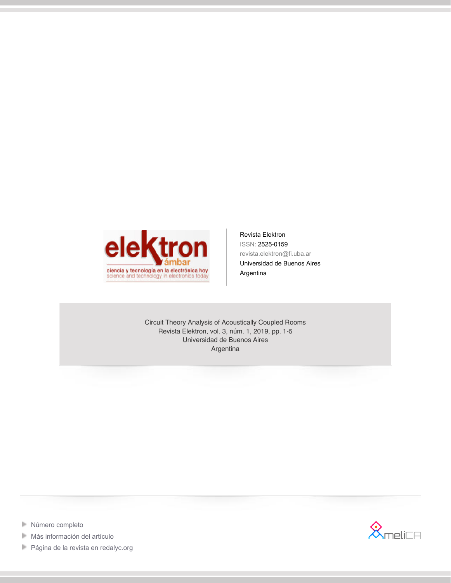

Revista Elektron ISSN: 2525-0159 revista.elektron@fi.uba.ar Universidad de Buenos Aires Argentina

Circuit Theory Analysis of Acoustically Coupled Rooms Revista Elektron, vol. 3, núm. 1, 2019, pp. 1-5 Universidad de Buenos Aires Argentina



- **[Número completo](http://portal.amelica.org/revista.oa?id=150&numero=721)**
- $\mathbb{R}^n$ [Más información del artículo](http://portal.amelica.org/ameli/jatsRepo/150/001)
- [Página de la revista en redalyc.org](http://portal.amelica.org/revista.oa?id=150)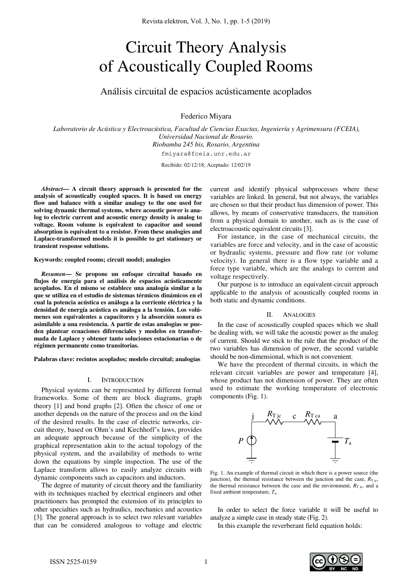# Circuit Theory Analysis of Acoustically Coupled Rooms

Análisis circuital de espacios acústicamente acoplados

Federico Miyara

*Laboratorio de Acústica y Electroacústica, Facultad de Ciencias Exactas, Ingeniería y Agrimensura (FCEIA), Universidad Nacional de Rosario. Riobamba 245 bis, Rosario, Argentina*  fmiyara@fceia.unr.edu.ar

Recibido: 02/12/18; Aceptado: 12/02/19

*Abstract***— A circuit theory approach is presented for the analysis of acoustically coupled spaces. It is based on energy flow and balance with a similar analogy to the one used for solving dynamic thermal systems, where acoustic power is analog to electric current and acoustic energy density is analog to voltage. Room volume is equivalent to capacitor and sound absorption is equivalent to a resistor. From these analogies and Laplace-transformed models it is possible to get stationary or transient response solutions.** 

#### **Keywords: coupled rooms; circuit model; analogies**

*Resumen***— Se propone un enfoque circuital basado en flujos de energía para el análisis de espacios acústicamente acoplados. En el mismo se establece una analogía similar a la que se utiliza en el estudio de sistemas térmicos dinámicos en el cual la potencia acústica es análoga a la corriente eléctrica y la densidad de energía acústica es análoga a la tensión. Los volúmenes son equivalentes a capacitores y la absorción sonora es asimilable a una resistencia. A partir de estas analogías se pueden plantear ecuaciones diferenciales y modelos en transformada de Laplace y obtener tanto soluciones estacionarias o de régimen permanente como transitorias.** 

**Palabras clave: recintos acoplados; modelo circuital; analogías** 

### I. INTRODUCTION

Physical systems can be represented by different formal frameworks. Some of them are block diagrams, graph theory [1] and bond graphs [2]. Often the choice of one or another depends on the nature of the process and on the kind of the desired results. In the case of electric networks, circuit theory, based on Ohm's and Kirchhoff's laws, provides an adequate approach because of the simplicity of the graphical representation akin to the actual topology of the physical system, and the availability of methods to write down the equations by simple inspection. The use of the Laplace transform allows to easily analyze circuits with dynamic components such as capacitors and inductors.

The degree of maturity of circuit theory and the familiarity with its techniques reached by electrical engineers and other practitioners has prompted the extension of its principles to other specialties such as hydraulics, mechanics and acoustics [3]. The general approach is to select two relevant variables that can be considered analogous to voltage and electric current and identify physical subprocesses where these variables are linked. In general, but not always, the variables are chosen so that their product has dimension of power. This allows, by means of conservative transducers, the transition from a physical domain to another, such as is the case of electroacoustic equivalent circuits [3].

For instance, in the case of mechanical circuits, the variables are force and velocity, and in the case of acoustic or hydraulic systems, pressure and flow rate (or volume velocity). In general there is a flow type variable and a force type variable, which are the analogs to current and voltage respectively.

Our purpose is to introduce an equivalent-circuit approach applicable to the analysis of acoustically coupled rooms in both static and dynamic conditions.

## II. ANALOGIES

In the case of acoustically coupled spaces which we shall be dealing with, we will take the acoustic power as the analog of current. Should we stick to the rule that the product of the two variables has dimension of power, the second variable should be non-dimensional, which is not convenient.

We have the precedent of thermal circuits, in which the relevant circuit variables are power and temperature [4], whose product has not dimension of power. They are often used to estimate the working temperature of electronic components (Fig. 1).



Fig. 1. An example of thermal circuit in which there is a power source (the junction), the thermal resistance between the junction and the case,  $R_{\text{T}}$  jc, the thermal resistance between the case and the environment,  $R_{\text{T}}$  ig, and a fixed ambient temperature, *T*a.

In order to select the force variable it will be useful to analyze a simple case in steady state (Fig. 2).

In this example the reverberant field equation holds: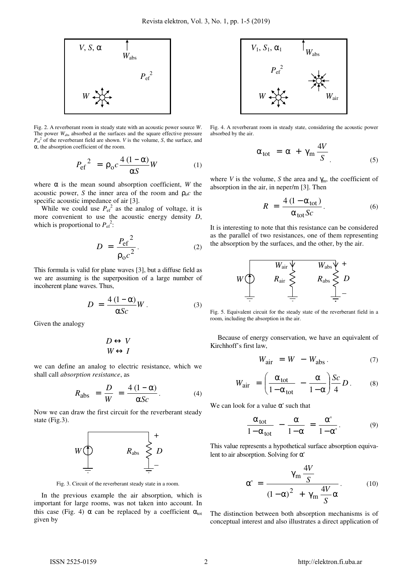

Fig. 2. A reverberant room in steady state with an acoustic power source *W*. The power  $W_{\text{abs}}$  absorbed at the surfaces and the square effective pressure  $P_{\text{ef}}^2$  of the reverberant field are shown. *V* is the volume, *S*, the surface, and α, the absorption coefficient of the room.

$$
P_{\rm ef}^2 = \rho_0 c \frac{4 (1 - \alpha)}{\alpha S} W \tag{1}
$$

where  $\alpha$  is the mean sound absorption coefficient, *W* the acoustic power, *S* the inner area of the room and  $\rho_0 c$  the specific acoustic impedance of air [3].

While we could use  $P_{\text{ef}}^2$  as the analog of voltage, it is more convenient to use the acoustic energy density *D*, which is proportional to  $P_{\text{ef}}^2$ :

$$
D = \frac{P_{\text{ef}}^2}{\rho_0 c^2}.
$$
 (2)

This formula is valid for plane waves [3], but a diffuse field as we are assuming is the superposition of a large number of incoherent plane waves. Thus,

$$
D = \frac{4(1-\alpha)}{\alpha Sc}W.
$$
 (3)

Given the analogy

$$
D \leftrightarrow V
$$
  

$$
W \leftrightarrow I
$$

we can define an analog to electric resistance, which we shall call *absorption resistance*, as

$$
R_{\rm abs} = \frac{D}{W} = \frac{4(1-\alpha)}{\alpha Sc}.
$$
 (4)

Now we can draw the first circuit for the reverberant steady state (Fig.3).



Fig. 3. Circuit of the reverberant steady state in a room.

In the previous example the air absorption, which is important for large rooms, was not taken into account. In this case (Fig. 4)  $\alpha$  can be replaced by a coefficient  $\alpha_{tot}$ given by



Fig. 4. A reverberant room in steady state, considering the acoustic power absorbed by the air.

$$
\alpha_{\text{tot}} = \alpha + \gamma_{\text{m}} \frac{4V}{S} \tag{5}
$$

where *V* is the volume, *S* the area and  $\gamma_m$ , the coefficient of absorption in the air, in neper/m [3]. Then

$$
R = \frac{4(1 - \alpha_{\text{tot}})}{\alpha_{\text{tot}} Sc}.
$$
 (6)

It is interesting to note that this resistance can be considered as the parallel of two resistances, one of them representing the absorption by the surfaces, and the other, by the air.



Fig. 5. Equivalent circuit for the steady state of the reverberant field in a room, including the absorption in the air.

Because of energy conservation, we have an equivalent of Kirchhoff's first law,

$$
W_{\text{air}} = W - W_{\text{abs}}. \tag{7}
$$

$$
W_{\text{air}} = \left(\frac{\alpha_{\text{tot}}}{1 - \alpha_{\text{tot}}} - \frac{\alpha}{1 - \alpha}\right) \frac{Sc}{4} D. \quad (8)
$$

We can look for a value  $\alpha'$  such that

$$
\frac{\alpha_{tot}}{1-\alpha_{tot}} - \frac{\alpha}{1-\alpha} = \frac{\alpha'}{1-\alpha'}.
$$
 (9)

This value represents a hypothetical surface absorption equivalent to air absorption. Solving for α'

$$
\alpha' = \frac{\gamma_{\rm m} \frac{4V}{S}}{(1-\alpha)^2 + \gamma_{\rm m} \frac{4V}{S} \alpha}.
$$
 (10)

The distinction between both absorption mechanisms is of conceptual interest and also illustrates a direct application of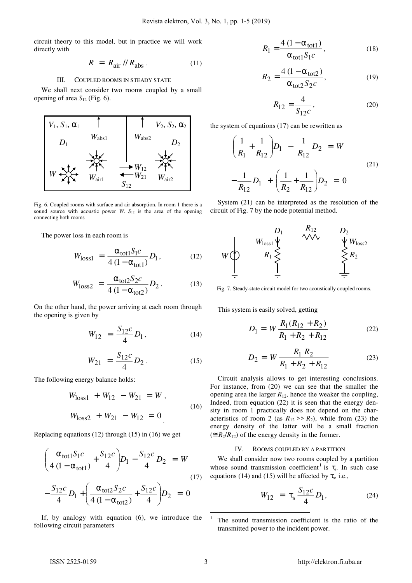circuit theory to this model, but in practice we will work directly with

$$
R = R_{\text{air}} / / R_{\text{abs}}. \tag{11}
$$

# III. COUPLED ROOMS IN STEADY STATE

We shall next consider two rooms coupled by a small opening of area  $S_{12}$  (Fig. 6).



Fig. 6. Coupled rooms with surface and air absorption. In room 1 there is a sound source with acoustic power *W*. *S*12 is the area of the opening connecting both rooms

The power loss in each room is

$$
W_{\text{loss1}} = \frac{\alpha_{\text{tot1}} S_1 c}{4 (1 - \alpha_{\text{tot1}})} D_1, \qquad (12)
$$

$$
W_{\text{loss2}} = \frac{\alpha_{\text{tot2}} S_2 c}{4 (1 - \alpha_{\text{tot2}})} D_2. \tag{13}
$$

On the other hand, the power arriving at each room through the opening is given by

$$
W_{12} = \frac{S_{12}c}{4} D_1, \qquad (14)
$$

$$
W_{21} = \frac{S_{12}c}{4}D_2.
$$
 (15)

The following energy balance holds:

$$
W_{\text{loss1}} + W_{12} - W_{21} = W ,
$$
  
\n
$$
W_{\text{loss2}} + W_{21} - W_{12} = 0 .
$$
 (16)

Replacing equations (12) through (15) in (16) we get

$$
\left(\frac{\alpha_{\text{tot}1}S_1c}{4(1-\alpha_{\text{tot}1})} + \frac{S_{12}c}{4}\right)D_1 - \frac{S_{12}c}{4}D_2 = W
$$
  

$$
-\frac{S_{12}c}{4}D_1 + \left(\frac{\alpha_{\text{tot}2}S_2c}{4(1-\alpha_{\text{tot}2})} + \frac{S_{12}c}{4}\right)D_2 = 0
$$
 (17)

If, by analogy with equation (6), we introduce the following circuit parameters

$$
R_1 = \frac{4 (1 - \alpha_{\text{tot}1})}{\alpha_{\text{tot}1} S_1 c},
$$
 (18)

$$
R_2 = \frac{4 (1 - \alpha_{\text{tot2}})}{\alpha_{\text{tot2}} S_2 c},
$$
 (19)

$$
R_{12} = \frac{4}{S_{12}c},\tag{20}
$$

the system of equations (17) can be rewritten as

$$
\left(\frac{1}{R_1} + \frac{1}{R_{12}}\right)D_1 - \frac{1}{R_{12}}D_2 = W
$$
  

$$
-\frac{1}{R_{12}}D_1 + \left(\frac{1}{R_2} + \frac{1}{R_{12}}\right)D_2 = 0
$$
 (21)

System (21) can be interpreted as the resolution of the circuit of Fig. 7 by the node potential method.



Fig. 7. Steady-state circuit model for two acoustically coupled rooms.

This system is easily solved, getting

$$
D_1 = W \frac{R_1(R_{12} + R_2)}{R_1 + R_2 + R_{12}}
$$
 (22)

$$
D_2 = W \frac{R_1 R_2}{R_1 + R_2 + R_{12}} \tag{23}
$$

Circuit analysis allows to get interesting conclusions. For instance, from (20) we can see that the smaller the opening area the larger  $R_{12}$ , hence the weaker the coupling, Indeed, from equation (22) it is seen that the energy density in room 1 practically does not depend on the characteristics of room 2 (as  $R_{12}$  >>  $R_2$ ), while from (23) the energy density of the latter will be a small fraction  $(\equiv R_2/R_{12})$  of the energy density in the former.

# IV. ROOMS COUPLED BY A PARTITION

We shall consider now two rooms coupled by a partition whose sound transmission coefficient<sup>1</sup> is  $\tau_s$ . In such case equations (14) and (15) will be affected by  $\tau_s$ , i.e.,

$$
W_{12} = \tau_s \frac{S_{12}c}{4} D_1, \qquad (24)
$$

 $\overline{a}$ 

<sup>1</sup> The sound transmission coefficient is the ratio of the transmitted power to the incident power.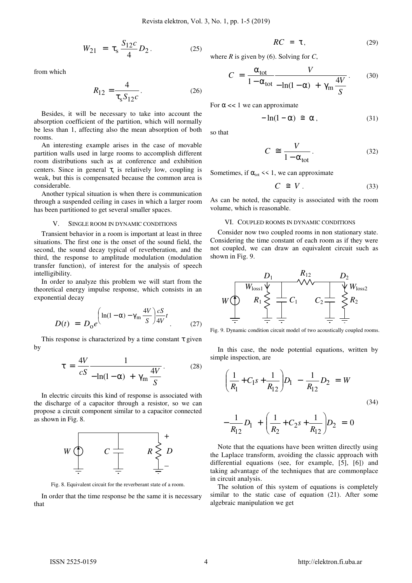$$
W_{21} = \tau_s \frac{S_{12}c}{4} D_2.
$$
 (25)

from which

$$
R_{12} = \frac{4}{\tau_s S_{12} c}.
$$
 (26)

Besides, it will be necessary to take into account the absorption coefficient of the partition, which will normally be less than 1, affecting also the mean absorption of both rooms.

An interesting example arises in the case of movable partition walls used in large rooms to accomplish different room distributions such as at conference and exhibition centers. Since in general  $\tau_s$  is relatively low, coupling is weak, but this is compensated because the common area is considerable.

Another typical situation is when there is communication through a suspended ceiling in cases in which a larger room has been partitioned to get several smaller spaces.

# SINGLE ROOM IN DYNAMIC CONDITIONS

Transient behavior in a room is important at least in three situations. The first one is the onset of the sound field, the second, the sound decay typical of reverberation, and the third, the response to amplitude modulation (modulation transfer function), of interest for the analysis of speech intelligibility.

In order to analyze this problem we will start from the theoretical energy impulse response, which consists in an exponential decay

$$
D(t) = D_0 e^{\left(\ln(1-\alpha) - \gamma_m \frac{4V}{S}\right) \frac{cS}{4V}t}.
$$
 (27)

This response is characterized by a time constant  $\tau$  given by

$$
\tau = \frac{4V}{cS} \frac{1}{-\ln(1-\alpha) + \gamma_m \frac{4V}{S}}.
$$
 (28)

In electric circuits this kind of response is associated with the discharge of a capacitor through a resistor, so we can propose a circuit component similar to a capacitor connected as shown in Fig. 8.



Fig. 8. Equivalent circuit for the reverberant state of a room.

In order that the time response be the same it is necessary that

$$
RC = \tau, \tag{29}
$$

where *R* is given by (6). Solving for *C*,

$$
C = \frac{\alpha_{\text{tot}}}{1 - \alpha_{\text{tot}}} \frac{V}{-\ln(1 - \alpha) + \gamma_{\text{m}} \frac{4V}{S}}.
$$
 (30)

For  $\alpha \ll 1$  we can approximate

$$
-\ln(1-\alpha) \cong \alpha , \qquad (31)
$$

so that

$$
C \cong \frac{V}{1 - \alpha_{\text{tot}}}.
$$
 (32)

Sometimes, if  $\alpha_{tot} \ll 1$ , we can approximate

$$
C \cong V. \tag{33}
$$

As can be noted, the capacity is associated with the room volume, which is reasonable.

## VI. COUPLED ROOMS IN DYNAMIC CONDITIONS

Consider now two coupled rooms in non stationary state. Considering the time constant of each room as if they were not coupled, we can draw an equivalent circuit such as shown in Fig. 9.



Fig. 9. Dynamic condition circuit model of two acoustically coupled rooms.

In this case, the node potential equations, written by simple inspection, are

$$
\left(\frac{1}{R_1} + C_1 s + \frac{1}{R_{12}}\right) D_1 - \frac{1}{R_{12}} D_2 = W
$$
\n(34)

$$
-\frac{1}{R_{12}}D_1 + \left(\frac{1}{R_2} + C_2s + \frac{1}{R_{12}}\right)D_2 = 0
$$

Note that the equations have been written directly using the Laplace transform, avoiding the classic approach with differential equations (see, for example, [5], [6]) and taking advantage of the techniques that are commonplace in circuit analysis.

The solution of this system of equations is completely similar to the static case of equation (21). After some algebraic manipulation we get